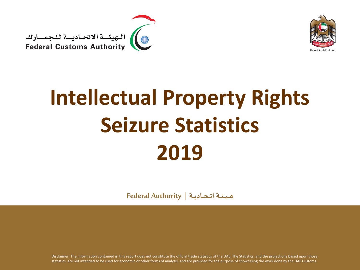



# **Intellectual Property Rights Seizure Statistics 2019**

**هــيــئــة اتــحــاديــة | Authority Federal**

Disclaimer: The information contained in this report does not constitute the official trade statistics of the UAE. The Statistics, and the projections based upon those statistics, are not intended to be used for economic or other forms of analysis, and are provided for the purpose of showcasing the work done by the UAE Customs.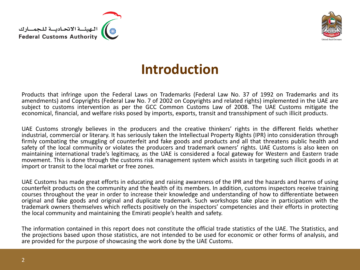



#### **Introduction**

Products that infringe upon the Federal Laws on Trademarks (Federal Law No. 37 of 1992 on Trademarks and its amendments) and Copyrights (Federal Law No. 7 of 2002 on Copyrights and related rights) implemented in the UAE are subject to customs intervention as per the GCC Common Customs Law of 2008. The UAE Customs mitigate the economical, financial, and welfare risks posed by imports, exports, transit and transshipment of such illicit products.

UAE Customs strongly believes in the producers and the creative thinkers' rights in the different fields whether industrial, commercial or literary. It has seriously taken the Intellectual Property Rights (IPR) into consideration through firmly combating the smuggling of counterfeit and fake goods and products and all that threatens public health and safety of the local community or violates the producers and trademark owners' rights. UAE Customs is also keen on maintaining international trade's legitimacy, as the UAE is considered a focal gateway for Western and Eastern trade movement. This is done through the customs risk management system which assists in targeting such illicit goods in at import or transit to the local market or free zones.

UAE Customs has made great efforts in educating and raising awareness of the IPR and the hazards and harms of using counterfeit products on the community and the health of its members. In addition, customs inspectors receive training courses throughout the year in order to increase their knowledge and understanding of how to differentiate between original and fake goods and original and duplicate trademark. Such workshops take place in participation with the trademark owners themselves which reflects positively on the inspectors' competencies and their efforts in protecting the local community and maintaining the Emirati people's health and safety.

The information contained in this report does not constitute the official trade statistics of the UAE. The Statistics, and the projections based upon those statistics, are not intended to be used for economic or other forms of analysis, and are provided for the purpose of showcasing the work done by the UAE Customs.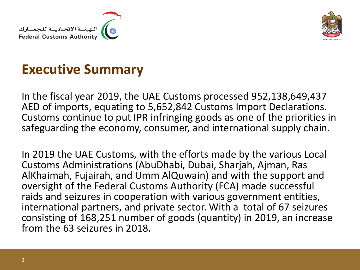



#### **Executive Summary**

In the fiscal year 2019, the UAE Customs processed 952,138,649,437 AED of imports, equating to 5,652,842 Customs Import Declarations. Customs continue to put IPR infringing goods as one of the priorities in safeguarding the economy, consumer, and international supply chain.

In 2019 the UAE Customs, with the efforts made by the various Local Customs Administrations (AbuDhabi, Dubai, Sharjah, Ajman, Ras AlKhaimah, Fujairah, and Umm AlQuwain) and with the support and oversight of the Federal Customs Authority (FCA) made successful raids and seizures in cooperation with various government entities, international partners, and private sector. With a total of 67 seizures consisting of 168,251 number of goods (quantity) in 2019, an increase from the 63 seizures in 2018.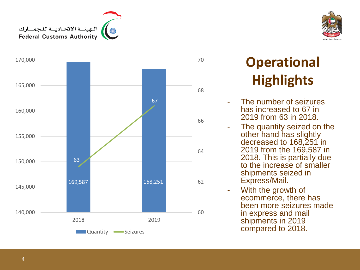





## **Operational Highlights**

- The number of seizures has increased to 67 in 2019 from 63 in 2018.
- The quantity seized on the other hand has slightly decreased to 168,251 in 2019 from the 169,587 in 2018. This is partially due to the increase of smaller shipments seized in Express/Mail.
- With the growth of ecommerce, there has been more seizures made in express and mail shipments in 2019 compared to 2018 .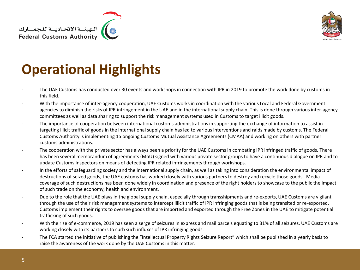



### **Operational Highlights**

- The UAE Customs has conducted over 30 events and workshops in connection with IPR in 2019 to promote the work done by customs in this field.
- With the importance of inter-agency cooperation, UAE Customs works in coordination with the various Local and Federal Government agencies to diminish the risks of IPR infringement in the UAE and in the international supply chain. This is done through various inter-agency committees as well as data sharing to support the risk management systems used in Customs to target illicit goods.
- The importance of cooperation between international customs administrations in supporting the exchange of information to assist in targeting illicit traffic of goods in the international supply chain has led to various interventions and raids made by customs. The Federal Customs Authority is implementing 15 ongoing Customs Mutual Assistance Agreements (CMAA) and working on others with partner customs administrations.
- The cooperation with the private sector has always been a priority for the UAE Customs in combating IPR infringed traffic of goods. There has been several memorandum of agreements (MoU) signed with various private sector groups to have a continuous dialogue on IPR and to update Customs Inspectors on means of detecting IPR related infringements through workshops.
- In the efforts of safeguarding society and the international supply chain, as well as taking into consideration the environmental impact of destructions of seized goods, the UAE customs has worked closely with various partners to destroy and recycle those goods. Media coverage of such destructions has been done widely in coordination and presence of the right holders to showcase to the public the impact of such trade on the economy, health and environment.
- Due to the role that the UAE plays in the global supply chain, especially through transshipments and re-exports, UAE Customs are vigilant through the use of their risk management systems to intercept illicit traffic of IPR infringing goods that is being transited or re-exported. Customs implement their rights to oversee goods that are imported and exported through the Free Zones in the UAE to mitigate potential trafficking of such goods.
- With the rise of e-commerce, 2019 has seen a serge of seizures in express and mail parcels equating to 31% of all seizures. UAE Customs are working closely with its partners to curb such influxes of IPR infringing goods.
- The FCA started the initiative of publishing the "Intellectual Property Rights Seizure Report" which shall be published in a yearly basis to raise the awareness of the work done by the UAE Customs in this matter.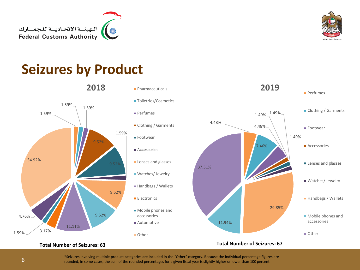



#### **Seizures by Product**





#### **Total Number of Seizures: 63**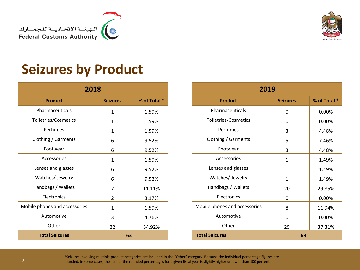



#### **Seizures by Product**

| 2018                          |                 |              |  |
|-------------------------------|-----------------|--------------|--|
| <b>Product</b>                | <b>Seizures</b> | % of Total * |  |
| Pharmaceuticals               | $\mathbf{1}$    | 1.59%        |  |
| Toiletries/Cosmetics          | $\mathbf{1}$    | 1.59%        |  |
| Perfumes                      | $\mathbf{1}$    | 1.59%        |  |
| Clothing / Garments           | 6               | 9.52%        |  |
| Footwear                      | 6               | 9.52%        |  |
| Accessories                   | $\mathbf{1}$    | 1.59%        |  |
| Lenses and glasses            | 6               | 9.52%        |  |
| Watches/ Jewelry              | 6               | 9.52%        |  |
| Handbags / Wallets            | 7               | 11.11%       |  |
| Electronics                   | $\mathcal{P}$   | 3.17%        |  |
| Mobile phones and accessories | $\mathbf{1}$    | 1.59%        |  |
| Automotive                    | 3               | 4.76%        |  |
| Other                         | 22              | 34.92%       |  |
| <b>Total Seizures</b>         | 63              |              |  |

| 2019                          |                 |              |  |
|-------------------------------|-----------------|--------------|--|
| <b>Product</b>                | <b>Seizures</b> | % of Total * |  |
| Pharmaceuticals               | 0               | 0.00%        |  |
| Toiletries/Cosmetics          | 0               | $0.00\%$     |  |
| Perfumes                      | 3               | 4.48%        |  |
| Clothing / Garments           | 5               | 7.46%        |  |
| Footwear                      | 3               | 4.48%        |  |
| Accessories                   | 1               | 1.49%        |  |
| Lenses and glasses            | 1               | 1.49%        |  |
| Watches/ Jewelry              | 1               | 1.49%        |  |
| Handbags / Wallets            | 20              | 29.85%       |  |
| Electronics                   | ŋ               | $0.00\%$     |  |
| Mobile phones and accessories | 8               | 11.94%       |  |
| Automotive                    | 0               | $0.00\%$     |  |
| Other                         | 25              | 37.31%       |  |
| <b>Total Seizures</b><br>63   |                 |              |  |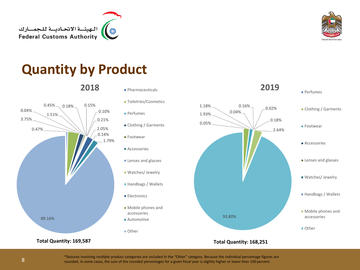









**Total Quantity: 169,587**

- 2018 Pharmaceuticals
	- **Toiletries/Cosmetics**
	- **Perfumes**
	- Clothing / Garments
	- **Footwear**
	- Accessories
	- **Lenses and glasses**
	- **Watches/ Jewelry**
	- Handbags / Wallets
	- **Electronics**
	- Mobile phones and accessories
	- Automotive
	- Other



#### **Total Quantity: 168,251**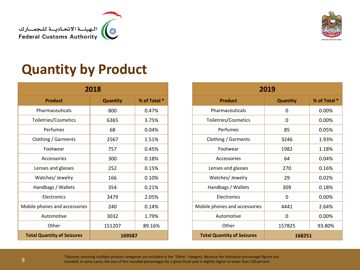



#### **Quantity by Product**

| 2018                                        |                 |              |  |
|---------------------------------------------|-----------------|--------------|--|
| <b>Product</b>                              | <b>Quantity</b> | % of Total * |  |
| Pharmaceuticals                             | 800             | 0.47%        |  |
| Toiletries/Cosmetics                        | 6365            | 3.75%        |  |
| Perfumes                                    | 68              | 0.04%        |  |
| Clothing / Garments                         | 2567            | 1.51%        |  |
| Footwear                                    | 757             | 0.45%        |  |
| Accessories                                 | 300             | 0.18%        |  |
| Lenses and glasses                          | 252             | 0.15%        |  |
| Watches/ Jewelry                            | 166             | 0.10%        |  |
| Handbags / Wallets                          | 354             | 0.21%        |  |
| Electronics                                 | 3479            | 2.05%        |  |
| Mobile phones and accessories               | 240             | 0.14%        |  |
| Automotive                                  | 3032            | 1.79%        |  |
| Other                                       | 151207          | 89.16%       |  |
| <b>Total Quantity of Seizures</b><br>169587 |                 |              |  |

| 2019                              |                 |              |  |
|-----------------------------------|-----------------|--------------|--|
| <b>Product</b>                    | <b>Quantity</b> | % of Total * |  |
| Pharmaceuticals                   | 0               | $0.00\%$     |  |
| Toiletries/Cosmetics              | 0               | $0.00\%$     |  |
| Perfumes                          | 85              | 0.05%        |  |
| Clothing / Garments               | 3246            | 1.93%        |  |
| Footwear                          | 1982            | 1.18%        |  |
| Accessories                       | 64              | 0.04%        |  |
| Lenses and glasses                | 270             | 0.16%        |  |
| Watches/ Jewelry                  | 29              | 0.02%        |  |
| Handbags / Wallets                | 309             | 0.18%        |  |
| <b>Flectronics</b>                | 0               | $0.00\%$     |  |
| Mobile phones and accessories     | 4441            | 2.64%        |  |
| Automotive                        | 0               | 0.00%        |  |
| Other                             | 157825          | 93.80%       |  |
| <b>Total Quantity of Seizures</b> | 168251          |              |  |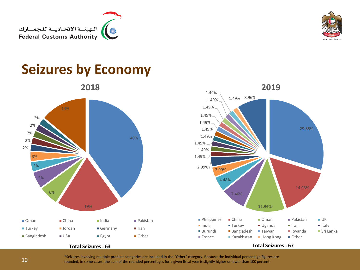



#### **Seizures by Economy**

**2018**





#### **Total Seizures : 63**

\*Seizures involving multiple product categories are included in the "Other" category. Because the individual percentage figures are

rounded, in some cases, the sum of the rounded percentages for a given fiscal year is slightly higher or lower than 100 percent.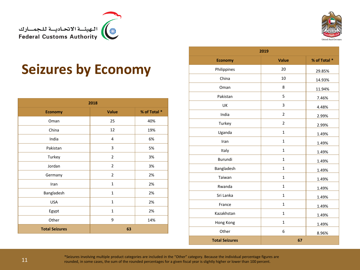



#### **Seizures by Economy**

| 2018                  |                |              |  |
|-----------------------|----------------|--------------|--|
| <b>Economy</b>        | <b>Value</b>   | % of Total * |  |
| Oman                  | 25             | 40%          |  |
| China                 | 12             | 19%          |  |
| India                 | 4              | 6%           |  |
| Pakistan              | 3              | 5%           |  |
| Turkey                | $\overline{2}$ | 3%           |  |
| Jordan                | 2              | 3%           |  |
| Germany               | $\overline{2}$ | 2%           |  |
| Iran                  | $\mathbf{1}$   | 2%           |  |
| Bangladesh            | $\mathbf{1}$   | 2%           |  |
| <b>USA</b>            | $\mathbf{1}$   | 2%           |  |
| Egypt                 | $\mathbf{1}$   | 2%           |  |
| Other                 | 9              | 14%          |  |
| <b>Total Seizures</b> | 63             |              |  |

| 2019                  |                |              |  |
|-----------------------|----------------|--------------|--|
| <b>Economy</b>        | Value          | % of Total * |  |
| Philippines           | 20             | 29.85%       |  |
| China                 | 10             | 14.93%       |  |
| Oman                  | 8              | 11.94%       |  |
| Pakistan              | 5              | 7.46%        |  |
| UK                    | 3              | 4.48%        |  |
| India                 | $\overline{2}$ | 2.99%        |  |
| Turkey                | $\overline{2}$ | 2.99%        |  |
| Uganda                | $\mathbf{1}$   | 1.49%        |  |
| Iran                  | $\mathbf{1}$   | 1.49%        |  |
| Italy                 | $\mathbf{1}$   | 1.49%        |  |
| <b>Burundi</b>        | $\mathbf{1}$   | 1.49%        |  |
| Bangladesh            | $\mathbf{1}$   | 1.49%        |  |
| Taiwan                | $\mathbf{1}$   | 1.49%        |  |
| Rwanda                | $\mathbf{1}$   | 1.49%        |  |
| Sri Lanka             | $\mathbf{1}$   | 1.49%        |  |
| France                | $\mathbf{1}$   | 1.49%        |  |
| Kazakhstan            | $\mathbf{1}$   | 1.49%        |  |
| Hong Kong             | $\mathbf{1}$   | 1.49%        |  |
| Other                 | 6              | 8.96%        |  |
| <b>Total Seizures</b> | 67             |              |  |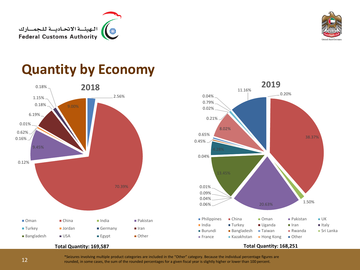



8.02%

11.16%

0.21%

0.02% 0.79% 0.04%

0.20%

**2019**

### **Quantity by Economy**

**2018**

2.56% 70.39% 0.12% 9.45% 0.16% 0.62% 0.01% 6.19% 0.18% 1.15% 9.00% ■ Oman ■ China ■ India ■ Pakistan ■ Turkey ■ Jordan ■ Germany ■ Iran ■ Bangladesh ■ USA ■ Egypt ■ Other

**Total Quantity: 169,587**





0.18%

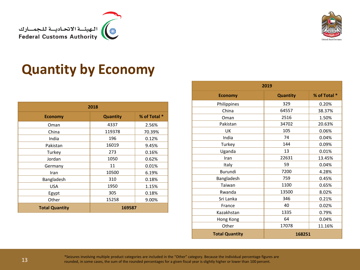



### **Quantity by Economy**

| 2018                  |                 |              |  |
|-----------------------|-----------------|--------------|--|
| <b>Economy</b>        | <b>Quantity</b> | % of Total * |  |
| Oman                  | 4337            | 2.56%        |  |
| China                 | 119378          | 70.39%       |  |
| India                 | 196             | 0.12%        |  |
| Pakistan              | 16019           | 9.45%        |  |
| Turkey                | 273             | 0.16%        |  |
| Jordan                | 1050            | 0.62%        |  |
| Germany               | 11              | 0.01%        |  |
| Iran                  | 10500           | 6.19%        |  |
| Bangladesh            | 310             | 0.18%        |  |
| <b>USA</b>            | 1950            | 1.15%        |  |
| Egypt                 | 305             | 0.18%        |  |
| Other                 | 15258           | 9.00%        |  |
| <b>Total Quantity</b> | 169587          |              |  |

| 2019                  |                 |              |  |
|-----------------------|-----------------|--------------|--|
| <b>Economy</b>        | <b>Quantity</b> | % of Total * |  |
| Philippines           | 329             | 0.20%        |  |
| China                 | 64557           | 38.37%       |  |
| Oman                  | 2516            | 1.50%        |  |
| Pakistan              | 34702           | 20.63%       |  |
| UK                    | 105             | 0.06%        |  |
| India                 | 74              | 0.04%        |  |
| Turkey                | 144             | 0.09%        |  |
| Uganda                | 13              | 0.01%        |  |
| Iran                  | 22631           | 13.45%       |  |
| Italy                 | 59              | 0.04%        |  |
| Burundi               | 7200            | 4.28%        |  |
| Bangladesh            | 759             | 0.45%        |  |
| Taiwan                | 1100            | 0.65%        |  |
| Rwanda                | 13500           | 8.02%        |  |
| Sri Lanka             | 346             | 0.21%        |  |
| France                | 40              | 0.02%        |  |
| Kazakhstan            | 1335            | 0.79%        |  |
| Hong Kong             | 64              | 0.04%        |  |
| Other                 | 17078           | 11.16%       |  |
| <b>Total Quantity</b> | 168251          |              |  |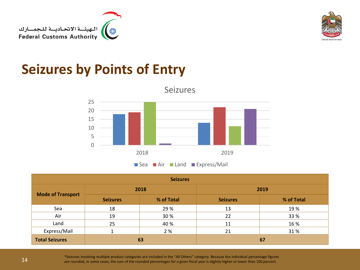



#### **Seizures by Points of Entry**



Seizures

| <b>Seizures</b>          |                 |            |                 |            |
|--------------------------|-----------------|------------|-----------------|------------|
|                          | 2018            |            | 2019            |            |
| <b>Mode of Transport</b> | <b>Seizures</b> | % of Total | <b>Seizures</b> | % of Total |
| Sea                      | 18              | 29 %       | 13              | 19 %       |
| Air                      | 19              | 30 %       | 22              | 33 %       |
| Land                     | 25              | 40 %       | 11              | 16 %       |
| Express/Mail             |                 | 2 %        | 21              | 31%        |
| <b>Total Seizures</b>    |                 | 63         |                 | 67         |

\*Seizures involving multiple product categories are included in the "All Others" category. Because the individual percentage figures<br>are rounded, in some cases, the sum of the rounded percentages for a given fiscal year is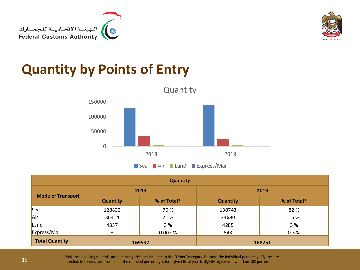



#### **Quantity by Points of Entry**



| <b>Quantity</b>          |                 |             |                 |             |
|--------------------------|-----------------|-------------|-----------------|-------------|
|                          | 2018            |             |                 | 2019        |
| <b>Mode of Transport</b> | <b>Quantity</b> | % of Total* | <b>Quantity</b> | % of Total* |
| Sea                      | 128833          | 76 %        | 138743          | 82 %        |
| Air                      | 36414           | 21%         | 24680           | 15 %        |
| Land                     | 4337            | 3 %         | 4285            | 3 %         |
| Express/Mail             | 3               | 0.002%      | 543             | 0.3%        |
| <b>Total Quantity</b>    |                 | 169587      |                 | 168251      |

\*Seizures involving multiple product categories are included in the "Other" category. Because the individual percentage figures are<br>The rounded, in some cases, the sum of the rounded percentages for a given fiscal year is